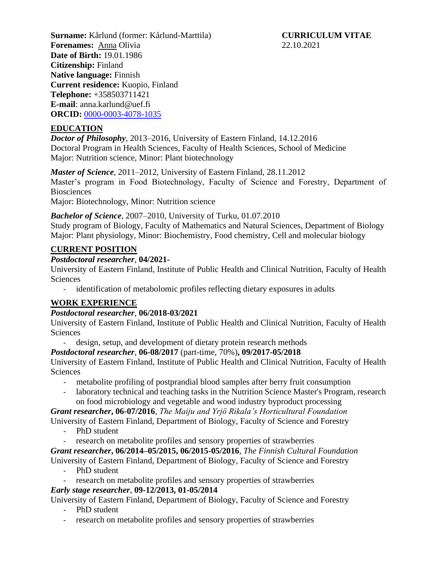**Surname:** Kårlund (former: Kårlund-Marttila) **CURRICULUM VITAE Forenames:** Anna Olivia 22.10.2021 **Date of Birth:** 19.01.1986 **Citizenship:** Finland **Native language:** Finnish **Current residence:** Kuopio, Finland **Telephone:** +358503711421 **E-mail**: anna.karlund@uef.fi **ORCID:** [0000-0003-4078-1035](https://orcid.org/0000-0003-4078-1035)

## **EDUCATION**

*Doctor of Philosophy*, 2013–2016, University of Eastern Finland, 14.12.2016 Doctoral Program in Health Sciences, Faculty of Health Sciences, School of Medicine Major: Nutrition science, Minor: Plant biotechnology

*Master of Science*, 2011–2012, University of Eastern Finland, 28.11.2012 Master's program in Food Biotechnology, Faculty of Science and Forestry, Department of **Biosciences** Major: Biotechnology, Minor: Nutrition science

*Bachelor of Science*, 2007–2010, University of Turku, 01.07.2010

Study program of Biology, Faculty of Mathematics and Natural Sciences, Department of Biology Major: Plant physiology, Minor: Biochemistry, Food chemistry, Cell and molecular biology

#### **CURRENT POSITION**

#### *Postdoctoral researcher*, **04/2021-**

University of Eastern Finland, Institute of Public Health and Clinical Nutrition, Faculty of Health **Sciences** 

- identification of metabolomic profiles reflecting dietary exposures in adults

#### **WORK EXPERIENCE**

#### *Postdoctoral researcher*, **06/2018-03/2021**

University of Eastern Finland, Institute of Public Health and Clinical Nutrition, Faculty of Health Sciences

- design, setup, and development of dietary protein research methods

#### *Postdoctoral researcher*, **06-08/2017** (part-time, 70%)**, 09/2017-05/2018**

University of Eastern Finland, Institute of Public Health and Clinical Nutrition, Faculty of Health **Sciences** 

- metabolite profiling of postprandial blood samples after berry fruit consumption
- laboratory technical and teaching tasks in the Nutrition Science Master's Program, research on food microbiology and vegetable and wood industry byproduct processing

*Grant researcher***, 06-07/2016**, *The Maiju and Yrjö Rikala's Horticultural Foundation*

University of Eastern Finland, Department of Biology, Faculty of Science and Forestry

- PhD student
- research on metabolite profiles and sensory properties of strawberries

*Grant researcher***, 06/2014–05/2015, 06/2015-05/2016**, *The Finnish Cultural Foundation*

University of Eastern Finland, Department of Biology, Faculty of Science and Forestry

- PhD student
- research on metabolite profiles and sensory properties of strawberries

# *Early stage researcher*, **09-12/2013, 01-05/2014**

University of Eastern Finland, Department of Biology, Faculty of Science and Forestry

- PhD student
- research on metabolite profiles and sensory properties of strawberries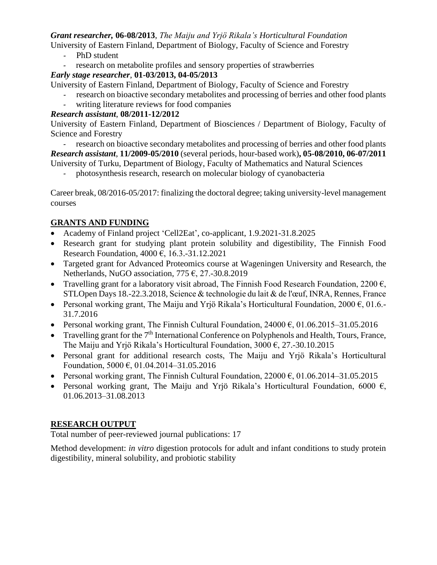## *Grant researcher,* **06-08/2013**, *The Maiju and Yrjö Rikala's Horticultural Foundation*

University of Eastern Finland, Department of Biology, Faculty of Science and Forestry

- PhD student
- research on metabolite profiles and sensory properties of strawberries

## *Early stage researcher*, **01-03/2013, 04-05/2013**

University of Eastern Finland, Department of Biology, Faculty of Science and Forestry

- research on bioactive secondary metabolites and processing of berries and other food plants
- writing literature reviews for food companies

## *Research assistant*, **08/2011-12/2012**

University of Eastern Finland, Department of Biosciences / Department of Biology, Faculty of Science and Forestry

- research on bioactive secondary metabolites and processing of berries and other food plants *Research assistant*, **11/2009-05/2010** (several periods, hour-based work)**, 05-08/2010, 06-07/2011** University of Turku, Department of Biology, Faculty of Mathematics and Natural Sciences

- photosynthesis research, research on molecular biology of cyanobacteria

Career break, 08/2016-05/2017: finalizing the doctoral degree; taking university-level management courses

# **GRANTS AND FUNDING**

- Academy of Finland project 'Cell2Eat', co-applicant, 1.9.2021-31.8.2025
- Research grant for studying plant protein solubility and digestibility, The Finnish Food Research Foundation, 4000 €, 16.3.-31.12.2021
- Targeted grant for Advanced Proteomics course at Wageningen University and Research, the Netherlands, NuGO association, 775  $\epsilon$ , 27.-30.8.2019
- Travelling grant for a laboratory visit abroad, The Finnish Food Research Foundation, 2200  $\epsilon$ , STLOpen Days 18.-22.3.2018, Science & technologie du lait & de l'œuf, INRA, Rennes, France
- Personal working grant, The Maiju and Yrjö Rikala's Horticultural Foundation,  $2000 \epsilon$ , 01.6.-31.7.2016
- Personal working grant, The Finnish Cultural Foundation,  $24000 \epsilon$ ,  $01.06.2015 31.05.2016$
- Travelling grant for the  $7<sup>th</sup>$  International Conference on Polyphenols and Health, Tours, France, The Maiju and Yrjö Rikala's Horticultural Foundation,  $3000 \, \epsilon$ , 27.-30.10.2015
- Personal grant for additional research costs, The Maiju and Yrjö Rikala's Horticultural Foundation, 5000 €, 01.04.2014–31.05.2016
- Personal working grant, The Finnish Cultural Foundation,  $22000 \text{ } \epsilon$ , 01.06.2014–31.05.2015
- Personal working grant, The Maiju and Yrjö Rikala's Horticultural Foundation, 6000  $\epsilon$ , 01.06.2013–31.08.2013

# **RESEARCH OUTPUT**

Total number of peer-reviewed journal publications: 17

Method development: *in vitro* digestion protocols for adult and infant conditions to study protein digestibility, mineral solubility, and probiotic stability